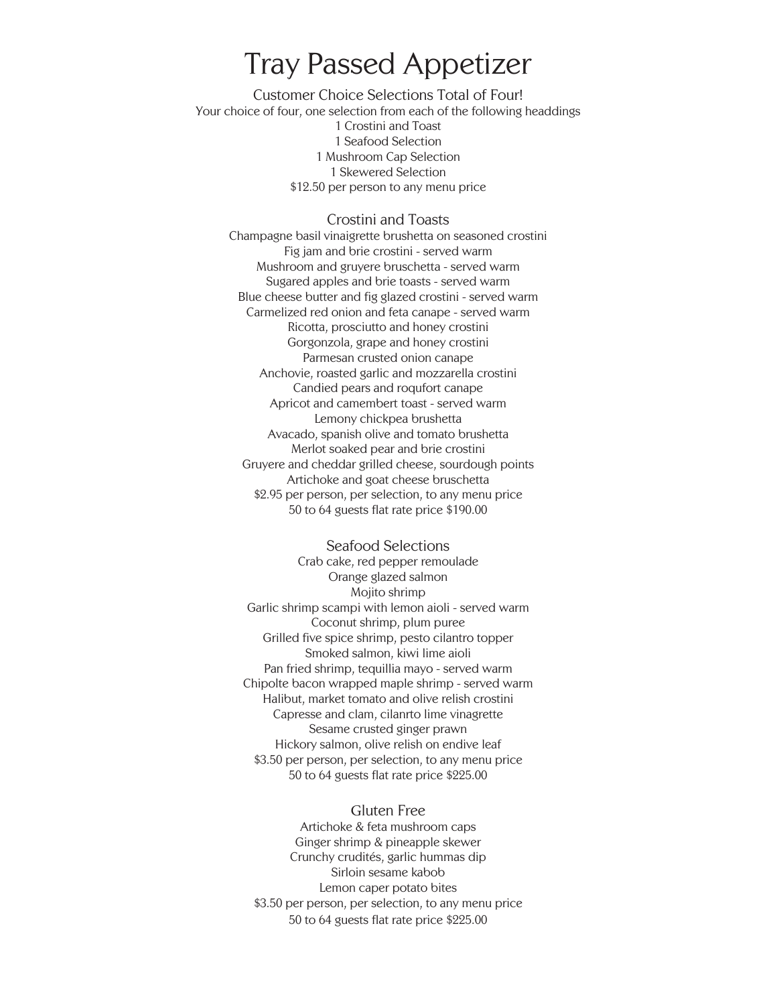## Tray Passed Appetizer

Customer Choice Selections Total of Four! Your choice of four, one selection from each of the following headdings 1 Crostini and Toast 1 Seafood Selection 1 Mushroom Cap Selection 1 Skewered Selection \$12.50 per person to any menu price

### Crostini and Toasts

Champagne basil vinaigrette brushetta on seasoned crostini Fig jam and brie crostini - served warm Mushroom and gruyere bruschetta - served warm Sugared apples and brie toasts - served warm Blue cheese butter and fig glazed crostini - served warm Carmelized red onion and feta canape - served warm Ricotta, prosciutto and honey crostini Gorgonzola, grape and honey crostini Parmesan crusted onion canape Anchovie, roasted garlic and mozzarella crostini Candied pears and roqufort canape Apricot and camembert toast - served warm Lemony chickpea brushetta Avacado, spanish olive and tomato brushetta Merlot soaked pear and brie crostini Gruyere and cheddar grilled cheese, sourdough points Artichoke and goat cheese bruschetta \$2.95 per person, per selection, to any menu price 50 to 64 guests flat rate price \$190.00

### Seafood Selections

Crab cake, red pepper remoulade Orange glazed salmon Mojito shrimp Garlic shrimp scampi with lemon aioli - served warm Coconut shrimp, plum puree Grilled five spice shrimp, pesto cilantro topper Smoked salmon, kiwi lime aioli Pan fried shrimp, tequillia mayo - served warm Chipolte bacon wrapped maple shrimp - served warm Halibut, market tomato and olive relish crostini Capresse and clam, cilanrto lime vinagrette Sesame crusted ginger prawn Hickory salmon, olive relish on endive leaf \$3.50 per person, per selection, to any menu price 50 to 64 guests flat rate price \$225.00

## Gluten Free

Artichoke & feta mushroom caps Ginger shrimp & pineapple skewer Crunchy crudités, garlic hummas dip Sirloin sesame kabob Lemon caper potato bites \$3.50 per person, per selection, to any menu price 50 to 64 guests flat rate price \$225.00